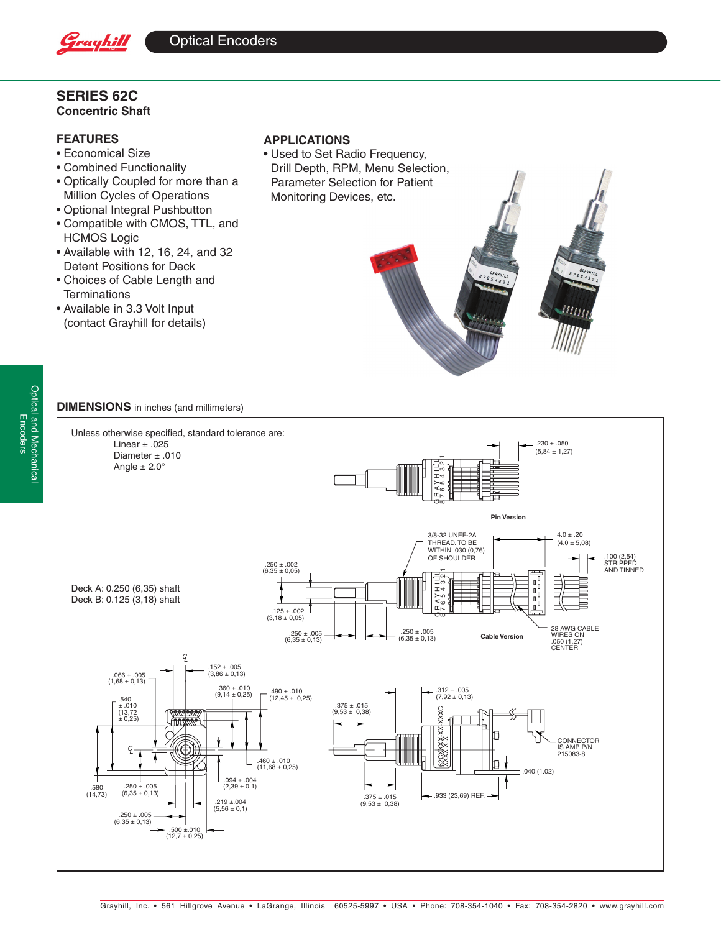

# **Series 62C Concentric Shaft**

# **FEATURES**

- • Economical Size
- • Combined Functionality
- • Optically Coupled for more than a Million Cycles of Operations
- • Optional Integral Pushbutton
- • Compatible with CMOS, TTL, and HCMOS Logic
- Available with 12, 16, 24, and 32 Detent Positions for Deck
- • Choices of Cable Length and **Terminations**
- • Available in 3.3 Volt Input (contact Grayhill for details)

## **APPLICATIONS**

• Used to Set Radio Frequency, Drill Depth, RPM, Menu Selection, Parameter Selection for Patient Monitoring Devices, etc.



## **DIMENSIONS** in inches (and millimeters)